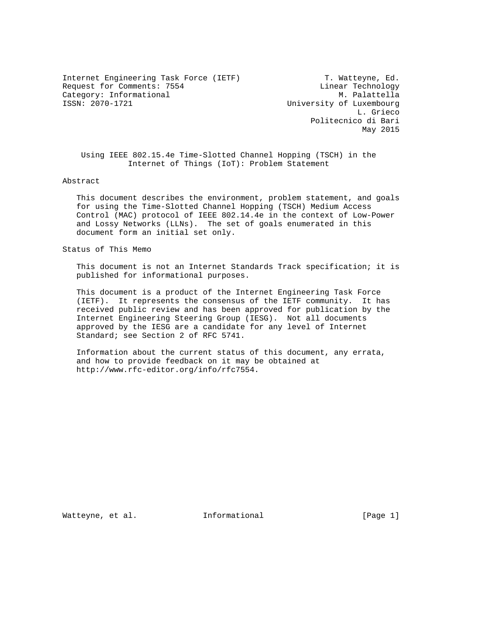Internet Engineering Task Force (IETF) T. Watteyne, Ed. Request for Comments: 7554 Linear Technology Category: Informational M. Palattella<br>1990-1721 ISSN: 2070-1721 University of Luxembourg

University of Luxembourg L. Grieco Politecnico di Bari May 2015

 Using IEEE 802.15.4e Time-Slotted Channel Hopping (TSCH) in the Internet of Things (IoT): Problem Statement

Abstract

 This document describes the environment, problem statement, and goals for using the Time-Slotted Channel Hopping (TSCH) Medium Access Control (MAC) protocol of IEEE 802.14.4e in the context of Low-Power and Lossy Networks (LLNs). The set of goals enumerated in this document form an initial set only.

Status of This Memo

 This document is not an Internet Standards Track specification; it is published for informational purposes.

 This document is a product of the Internet Engineering Task Force (IETF). It represents the consensus of the IETF community. It has received public review and has been approved for publication by the Internet Engineering Steering Group (IESG). Not all documents approved by the IESG are a candidate for any level of Internet Standard; see Section 2 of RFC 5741.

 Information about the current status of this document, any errata, and how to provide feedback on it may be obtained at http://www.rfc-editor.org/info/rfc7554.

Watteyne, et al. The Informational The Informational (Page 1)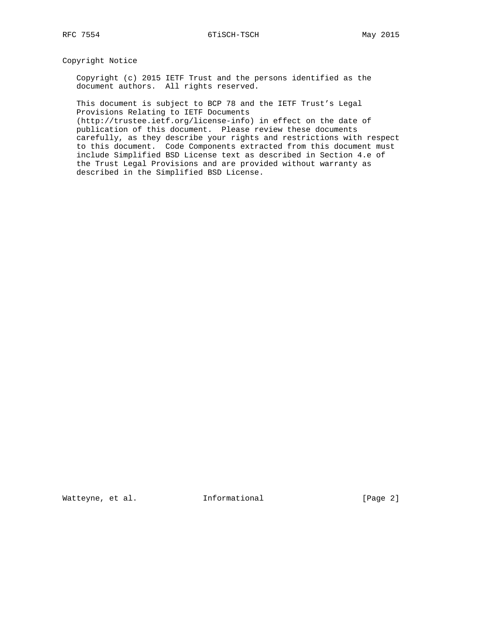Copyright Notice

 Copyright (c) 2015 IETF Trust and the persons identified as the document authors. All rights reserved.

 This document is subject to BCP 78 and the IETF Trust's Legal Provisions Relating to IETF Documents

 (http://trustee.ietf.org/license-info) in effect on the date of publication of this document. Please review these documents carefully, as they describe your rights and restrictions with respect to this document. Code Components extracted from this document must include Simplified BSD License text as described in Section 4.e of the Trust Legal Provisions and are provided without warranty as described in the Simplified BSD License.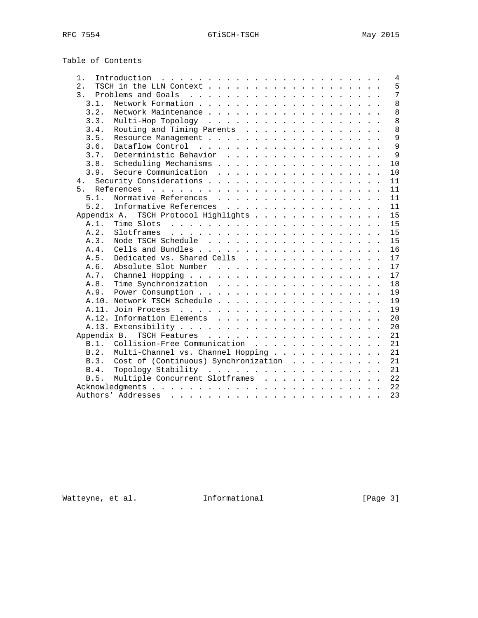| Table of Contents |                                                                                                            |
|-------------------|------------------------------------------------------------------------------------------------------------|
| 1.                | Introduction $\ldots \ldots \ldots \ldots \ldots \ldots \ldots$<br>4                                       |
| 2.1               | 5                                                                                                          |
| 3.                | 7                                                                                                          |
| 3.1.              | 8                                                                                                          |
| 3.2.              | 8                                                                                                          |
| 3.3.              | 8                                                                                                          |
| 3.4.              | 8<br>Routing and Timing Parents                                                                            |
| 3.5.              | 9                                                                                                          |
| 3.6.              | 9                                                                                                          |
| 3.7.              | 9<br>Deterministic Behavior                                                                                |
| 3.8.              | Scheduling Mechanisms<br>10                                                                                |
| 3.9.              | Secure Communication<br>10                                                                                 |
| 4.                | 11                                                                                                         |
|                   | 11                                                                                                         |
| 5.1.              | Normative References<br>11                                                                                 |
| 5.2.              | Informative References<br>11                                                                               |
| Appendix A.       | TSCH Protocol Highlights<br>15                                                                             |
| A.1.              | 15                                                                                                         |
| A.2.              | 15                                                                                                         |
| A.3.              | 15                                                                                                         |
| A.4.              | 16                                                                                                         |
| A.5.              | Dedicated vs. Shared Cells<br>17                                                                           |
| A.6.              | Absolute Slot Number<br>17                                                                                 |
| A.7.              | 17                                                                                                         |
| A.8.              | Time Synchronization<br>18                                                                                 |
| A.9.              | 19                                                                                                         |
|                   | A.10. Network TSCH Schedule<br>19                                                                          |
|                   | 19                                                                                                         |
|                   |                                                                                                            |
|                   | 20<br>A.12. Information Elements<br>20                                                                     |
|                   |                                                                                                            |
| Appendix B.       | 21                                                                                                         |
|                   | 21<br>B.1. Collision-Free Communication                                                                    |
| B.2.              | Multi-Channel vs. Channel Hopping<br>21                                                                    |
| B.3.              | Cost of (Continuous) Synchronization<br>21                                                                 |
| B.4.              | 21                                                                                                         |
| B.5.              | 22<br>Multiple Concurrent Slotframes                                                                       |
|                   | 22                                                                                                         |
|                   | 23<br>Authors' Addresses<br>والمناور والمناور والوالد المناور والمناور والمناور والمناور والمناور والمناور |

Watteyne, et al. 1nformational 1999 [Page 3]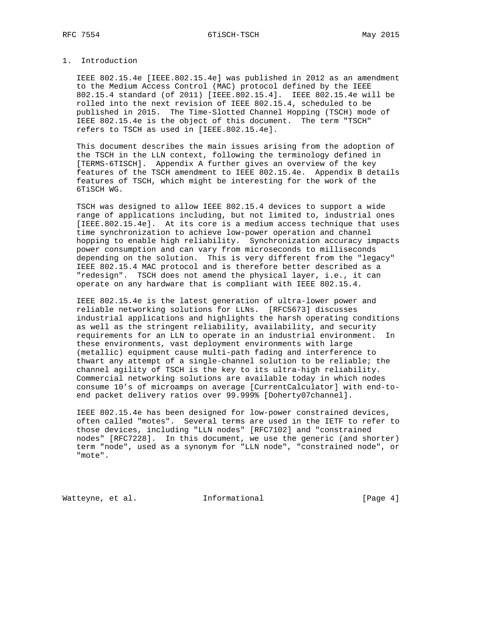# 1. Introduction

 IEEE 802.15.4e [IEEE.802.15.4e] was published in 2012 as an amendment to the Medium Access Control (MAC) protocol defined by the IEEE 802.15.4 standard (of 2011) [IEEE.802.15.4]. IEEE 802.15.4e will be rolled into the next revision of IEEE 802.15.4, scheduled to be published in 2015. The Time-Slotted Channel Hopping (TSCH) mode of IEEE 802.15.4e is the object of this document. The term "TSCH" refers to TSCH as used in [IEEE.802.15.4e].

 This document describes the main issues arising from the adoption of the TSCH in the LLN context, following the terminology defined in [TERMS-6TISCH]. Appendix A further gives an overview of the key features of the TSCH amendment to IEEE 802.15.4e. Appendix B details features of TSCH, which might be interesting for the work of the 6TiSCH WG.

 TSCH was designed to allow IEEE 802.15.4 devices to support a wide range of applications including, but not limited to, industrial ones [IEEE.802.15.4e]. At its core is a medium access technique that uses time synchronization to achieve low-power operation and channel hopping to enable high reliability. Synchronization accuracy impacts power consumption and can vary from microseconds to milliseconds depending on the solution. This is very different from the "legacy" IEEE 802.15.4 MAC protocol and is therefore better described as a "redesign". TSCH does not amend the physical layer, i.e., it can operate on any hardware that is compliant with IEEE 802.15.4.

 IEEE 802.15.4e is the latest generation of ultra-lower power and reliable networking solutions for LLNs. [RFC5673] discusses industrial applications and highlights the harsh operating conditions as well as the stringent reliability, availability, and security requirements for an LLN to operate in an industrial environment. In these environments, vast deployment environments with large (metallic) equipment cause multi-path fading and interference to thwart any attempt of a single-channel solution to be reliable; the channel agility of TSCH is the key to its ultra-high reliability. Commercial networking solutions are available today in which nodes consume 10's of microamps on average [CurrentCalculator] with end-to end packet delivery ratios over 99.999% [Doherty07channel].

 IEEE 802.15.4e has been designed for low-power constrained devices, often called "motes". Several terms are used in the IETF to refer to those devices, including "LLN nodes" [RFC7102] and "constrained nodes" [RFC7228]. In this document, we use the generic (and shorter) term "node", used as a synonym for "LLN node", "constrained node", or "mote".

Watteyne, et al. 1nformational 1999 [Page 4]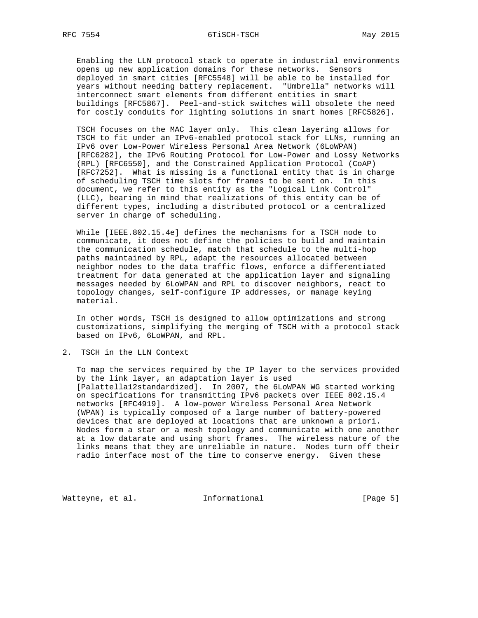Enabling the LLN protocol stack to operate in industrial environments opens up new application domains for these networks. Sensors deployed in smart cities [RFC5548] will be able to be installed for years without needing battery replacement. "Umbrella" networks will interconnect smart elements from different entities in smart buildings [RFC5867]. Peel-and-stick switches will obsolete the need for costly conduits for lighting solutions in smart homes [RFC5826].

 TSCH focuses on the MAC layer only. This clean layering allows for TSCH to fit under an IPv6-enabled protocol stack for LLNs, running an IPv6 over Low-Power Wireless Personal Area Network (6LoWPAN) [RFC6282], the IPv6 Routing Protocol for Low-Power and Lossy Networks (RPL) [RFC6550], and the Constrained Application Protocol (CoAP) [RFC7252]. What is missing is a functional entity that is in charge of scheduling TSCH time slots for frames to be sent on. In this document, we refer to this entity as the "Logical Link Control" (LLC), bearing in mind that realizations of this entity can be of different types, including a distributed protocol or a centralized server in charge of scheduling.

 While [IEEE.802.15.4e] defines the mechanisms for a TSCH node to communicate, it does not define the policies to build and maintain the communication schedule, match that schedule to the multi-hop paths maintained by RPL, adapt the resources allocated between neighbor nodes to the data traffic flows, enforce a differentiated treatment for data generated at the application layer and signaling messages needed by 6LoWPAN and RPL to discover neighbors, react to topology changes, self-configure IP addresses, or manage keying material.

 In other words, TSCH is designed to allow optimizations and strong customizations, simplifying the merging of TSCH with a protocol stack based on IPv6, 6LoWPAN, and RPL.

2. TSCH in the LLN Context

 To map the services required by the IP layer to the services provided by the link layer, an adaptation layer is used [Palattella12standardized]. In 2007, the 6LoWPAN WG started working on specifications for transmitting IPv6 packets over IEEE 802.15.4 networks [RFC4919]. A low-power Wireless Personal Area Network (WPAN) is typically composed of a large number of battery-powered devices that are deployed at locations that are unknown a priori. Nodes form a star or a mesh topology and communicate with one another at a low datarate and using short frames. The wireless nature of the links means that they are unreliable in nature. Nodes turn off their radio interface most of the time to conserve energy. Given these

Watteyne, et al. 1nformational 1999 [Page 5]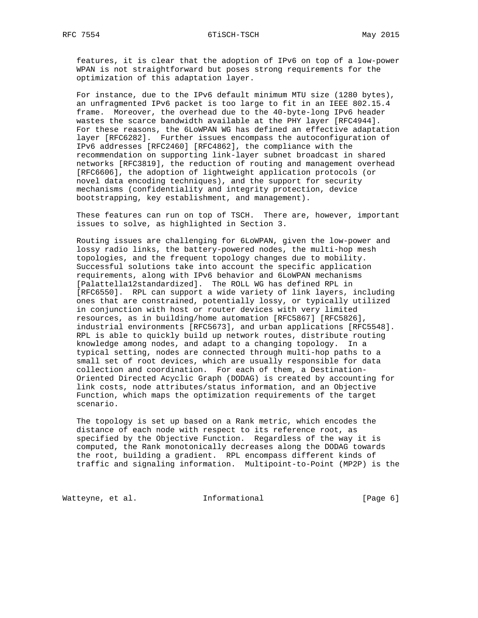features, it is clear that the adoption of IPv6 on top of a low-power WPAN is not straightforward but poses strong requirements for the optimization of this adaptation layer.

 For instance, due to the IPv6 default minimum MTU size (1280 bytes), an unfragmented IPv6 packet is too large to fit in an IEEE 802.15.4 frame. Moreover, the overhead due to the 40-byte-long IPv6 header wastes the scarce bandwidth available at the PHY layer [RFC4944]. For these reasons, the 6LoWPAN WG has defined an effective adaptation layer [RFC6282]. Further issues encompass the autoconfiguration of IPv6 addresses [RFC2460] [RFC4862], the compliance with the recommendation on supporting link-layer subnet broadcast in shared networks [RFC3819], the reduction of routing and management overhead [RFC6606], the adoption of lightweight application protocols (or novel data encoding techniques), and the support for security mechanisms (confidentiality and integrity protection, device bootstrapping, key establishment, and management).

 These features can run on top of TSCH. There are, however, important issues to solve, as highlighted in Section 3.

 Routing issues are challenging for 6LoWPAN, given the low-power and lossy radio links, the battery-powered nodes, the multi-hop mesh topologies, and the frequent topology changes due to mobility. Successful solutions take into account the specific application requirements, along with IPv6 behavior and 6LoWPAN mechanisms [Palattella12standardized]. The ROLL WG has defined RPL in [RFC6550]. RPL can support a wide variety of link layers, including ones that are constrained, potentially lossy, or typically utilized in conjunction with host or router devices with very limited resources, as in building/home automation [RFC5867] [RFC5826], industrial environments [RFC5673], and urban applications [RFC5548]. RPL is able to quickly build up network routes, distribute routing knowledge among nodes, and adapt to a changing topology. In a typical setting, nodes are connected through multi-hop paths to a small set of root devices, which are usually responsible for data collection and coordination. For each of them, a Destination- Oriented Directed Acyclic Graph (DODAG) is created by accounting for link costs, node attributes/status information, and an Objective Function, which maps the optimization requirements of the target scenario.

 The topology is set up based on a Rank metric, which encodes the distance of each node with respect to its reference root, as specified by the Objective Function. Regardless of the way it is computed, the Rank monotonically decreases along the DODAG towards the root, building a gradient. RPL encompass different kinds of traffic and signaling information. Multipoint-to-Point (MP2P) is the

Watteyne, et al. 1nformational 1999 [Page 6]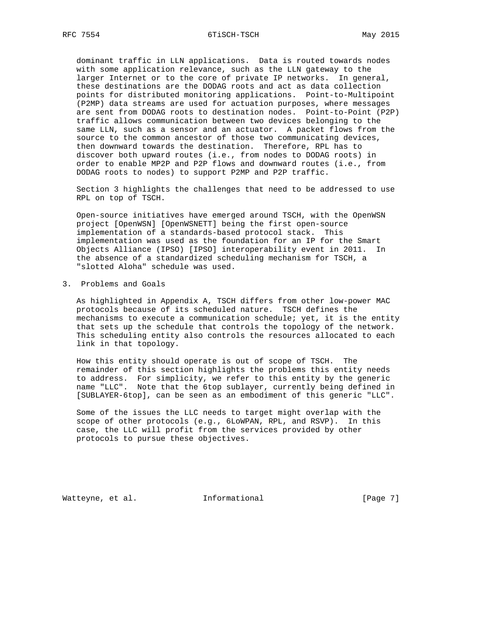dominant traffic in LLN applications. Data is routed towards nodes with some application relevance, such as the LLN gateway to the larger Internet or to the core of private IP networks. In general, these destinations are the DODAG roots and act as data collection points for distributed monitoring applications. Point-to-Multipoint (P2MP) data streams are used for actuation purposes, where messages are sent from DODAG roots to destination nodes. Point-to-Point (P2P) traffic allows communication between two devices belonging to the same LLN, such as a sensor and an actuator. A packet flows from the source to the common ancestor of those two communicating devices, then downward towards the destination. Therefore, RPL has to discover both upward routes (i.e., from nodes to DODAG roots) in order to enable MP2P and P2P flows and downward routes (i.e., from DODAG roots to nodes) to support P2MP and P2P traffic.

 Section 3 highlights the challenges that need to be addressed to use RPL on top of TSCH.

 Open-source initiatives have emerged around TSCH, with the OpenWSN project [OpenWSN] [OpenWSNETT] being the first open-source implementation of a standards-based protocol stack. This implementation was used as the foundation for an IP for the Smart Objects Alliance (IPSO) [IPSO] interoperability event in 2011. In the absence of a standardized scheduling mechanism for TSCH, a "slotted Aloha" schedule was used.

# 3. Problems and Goals

 As highlighted in Appendix A, TSCH differs from other low-power MAC protocols because of its scheduled nature. TSCH defines the mechanisms to execute a communication schedule; yet, it is the entity that sets up the schedule that controls the topology of the network. This scheduling entity also controls the resources allocated to each link in that topology.

 How this entity should operate is out of scope of TSCH. The remainder of this section highlights the problems this entity needs to address. For simplicity, we refer to this entity by the generic name "LLC". Note that the 6top sublayer, currently being defined in [SUBLAYER-6top], can be seen as an embodiment of this generic "LLC".

 Some of the issues the LLC needs to target might overlap with the scope of other protocols (e.g., 6LoWPAN, RPL, and RSVP). In this case, the LLC will profit from the services provided by other protocols to pursue these objectives.

Watteyne, et al. 1nformational 1999 [Page 7]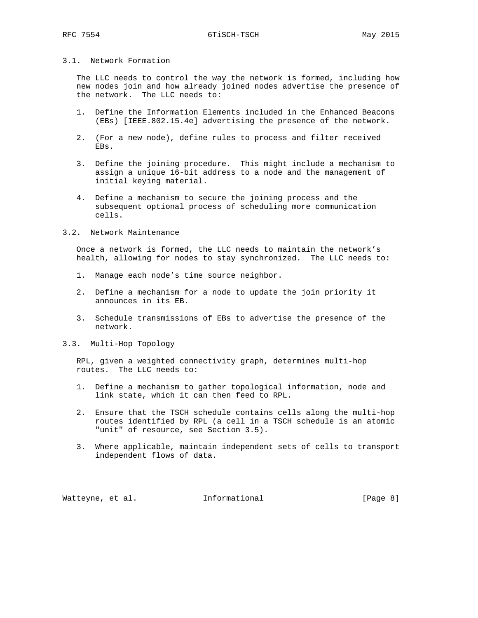# 3.1. Network Formation

 The LLC needs to control the way the network is formed, including how new nodes join and how already joined nodes advertise the presence of the network. The LLC needs to:

- 1. Define the Information Elements included in the Enhanced Beacons (EBs) [IEEE.802.15.4e] advertising the presence of the network.
- 2. (For a new node), define rules to process and filter received EBs.
- 3. Define the joining procedure. This might include a mechanism to assign a unique 16-bit address to a node and the management of initial keying material.
- 4. Define a mechanism to secure the joining process and the subsequent optional process of scheduling more communication cells.
- 3.2. Network Maintenance

 Once a network is formed, the LLC needs to maintain the network's health, allowing for nodes to stay synchronized. The LLC needs to:

- 1. Manage each node's time source neighbor.
- 2. Define a mechanism for a node to update the join priority it announces in its EB.
- 3. Schedule transmissions of EBs to advertise the presence of the network.
- 3.3. Multi-Hop Topology

 RPL, given a weighted connectivity graph, determines multi-hop routes. The LLC needs to:

- 1. Define a mechanism to gather topological information, node and link state, which it can then feed to RPL.
- 2. Ensure that the TSCH schedule contains cells along the multi-hop routes identified by RPL (a cell in a TSCH schedule is an atomic "unit" of resource, see Section 3.5).
- 3. Where applicable, maintain independent sets of cells to transport independent flows of data.

Watteyne, et al. 1nformational 1999 [Page 8]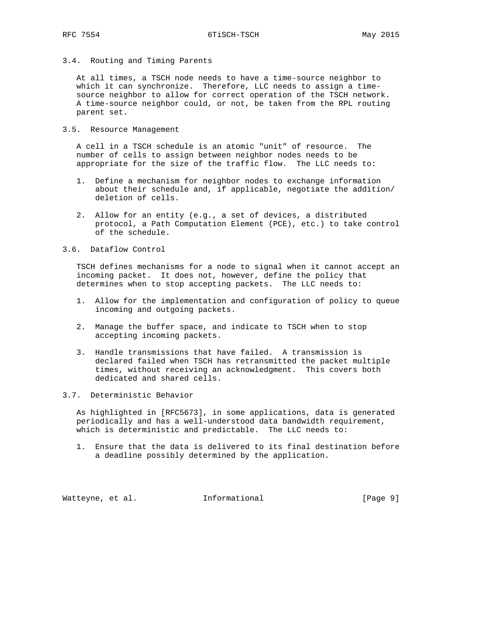3.4. Routing and Timing Parents

 At all times, a TSCH node needs to have a time-source neighbor to which it can synchronize. Therefore, LLC needs to assign a time source neighbor to allow for correct operation of the TSCH network. A time-source neighbor could, or not, be taken from the RPL routing parent set.

3.5. Resource Management

 A cell in a TSCH schedule is an atomic "unit" of resource. The number of cells to assign between neighbor nodes needs to be appropriate for the size of the traffic flow. The LLC needs to:

- 1. Define a mechanism for neighbor nodes to exchange information about their schedule and, if applicable, negotiate the addition/ deletion of cells.
- 2. Allow for an entity (e.g., a set of devices, a distributed protocol, a Path Computation Element (PCE), etc.) to take control of the schedule.
- 3.6. Dataflow Control

 TSCH defines mechanisms for a node to signal when it cannot accept an incoming packet. It does not, however, define the policy that determines when to stop accepting packets. The LLC needs to:

- 1. Allow for the implementation and configuration of policy to queue incoming and outgoing packets.
- 2. Manage the buffer space, and indicate to TSCH when to stop accepting incoming packets.
- 3. Handle transmissions that have failed. A transmission is declared failed when TSCH has retransmitted the packet multiple times, without receiving an acknowledgment. This covers both dedicated and shared cells.
- 3.7. Deterministic Behavior

 As highlighted in [RFC5673], in some applications, data is generated periodically and has a well-understood data bandwidth requirement, which is deterministic and predictable. The LLC needs to:

 1. Ensure that the data is delivered to its final destination before a deadline possibly determined by the application.

Watteyne, et al. 1nformational 1999 [Page 9]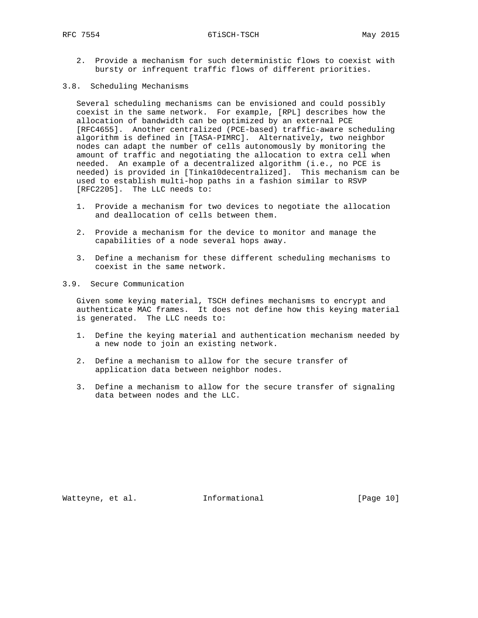RFC 7554 6TiSCH-TSCH May 2015

- 2. Provide a mechanism for such deterministic flows to coexist with bursty or infrequent traffic flows of different priorities.
- 3.8. Scheduling Mechanisms

 Several scheduling mechanisms can be envisioned and could possibly coexist in the same network. For example, [RPL] describes how the allocation of bandwidth can be optimized by an external PCE [RFC4655]. Another centralized (PCE-based) traffic-aware scheduling algorithm is defined in [TASA-PIMRC]. Alternatively, two neighbor nodes can adapt the number of cells autonomously by monitoring the amount of traffic and negotiating the allocation to extra cell when needed. An example of a decentralized algorithm (i.e., no PCE is needed) is provided in [Tinka10decentralized]. This mechanism can be used to establish multi-hop paths in a fashion similar to RSVP [RFC2205]. The LLC needs to:

- 1. Provide a mechanism for two devices to negotiate the allocation and deallocation of cells between them.
- 2. Provide a mechanism for the device to monitor and manage the capabilities of a node several hops away.
- 3. Define a mechanism for these different scheduling mechanisms to coexist in the same network.
- 3.9. Secure Communication

 Given some keying material, TSCH defines mechanisms to encrypt and authenticate MAC frames. It does not define how this keying material is generated. The LLC needs to:

- 1. Define the keying material and authentication mechanism needed by a new node to join an existing network.
- 2. Define a mechanism to allow for the secure transfer of application data between neighbor nodes.
- 3. Define a mechanism to allow for the secure transfer of signaling data between nodes and the LLC.

Watteyne, et al. 1nformational 1999 [Page 10]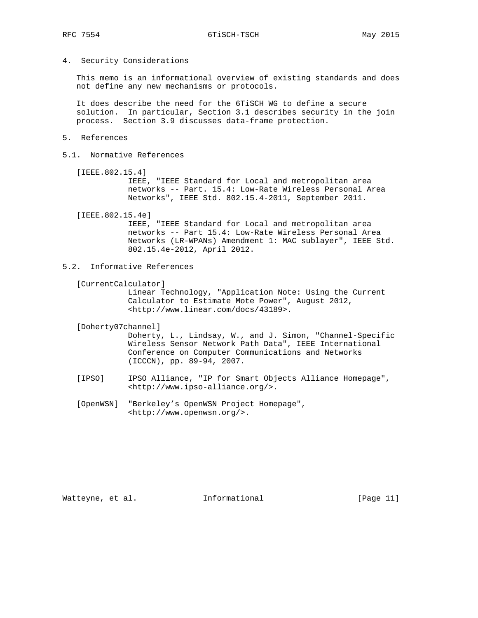4. Security Considerations

 This memo is an informational overview of existing standards and does not define any new mechanisms or protocols.

 It does describe the need for the 6TiSCH WG to define a secure solution. In particular, Section 3.1 describes security in the join process. Section 3.9 discusses data-frame protection.

- 5. References
- 5.1. Normative References
	- [IEEE.802.15.4]

 IEEE, "IEEE Standard for Local and metropolitan area networks -- Part. 15.4: Low-Rate Wireless Personal Area Networks", IEEE Std. 802.15.4-2011, September 2011.

[IEEE.802.15.4e]

 IEEE, "IEEE Standard for Local and metropolitan area networks -- Part 15.4: Low-Rate Wireless Personal Area Networks (LR-WPANs) Amendment 1: MAC sublayer", IEEE Std. 802.15.4e-2012, April 2012.

- 5.2. Informative References
	- [CurrentCalculator]

 Linear Technology, "Application Note: Using the Current Calculator to Estimate Mote Power", August 2012, <http://www.linear.com/docs/43189>.

[Doherty07channel]

 Doherty, L., Lindsay, W., and J. Simon, "Channel-Specific Wireless Sensor Network Path Data", IEEE International Conference on Computer Communications and Networks (ICCCN), pp. 89-94, 2007.

- [IPSO] IPSO Alliance, "IP for Smart Objects Alliance Homepage", <http://www.ipso-alliance.org/>.
- [OpenWSN] "Berkeley's OpenWSN Project Homepage", <http://www.openwsn.org/>.

Watteyne, et al. 1nformational 1999 [Page 11]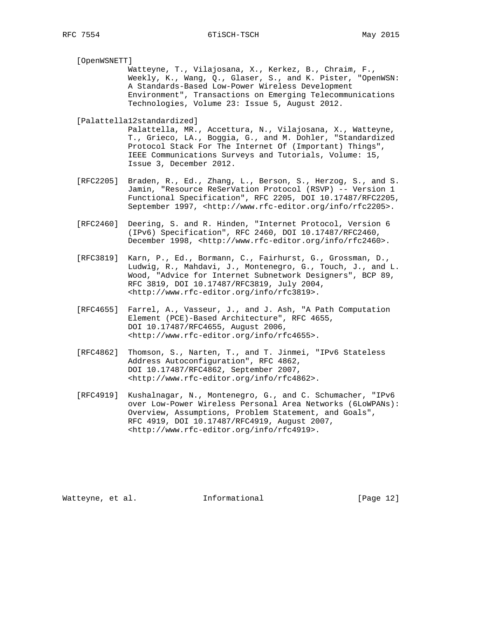[OpenWSNETT]

 Watteyne, T., Vilajosana, X., Kerkez, B., Chraim, F., Weekly, K., Wang, Q., Glaser, S., and K. Pister, "OpenWSN: A Standards-Based Low-Power Wireless Development Environment", Transactions on Emerging Telecommunications Technologies, Volume 23: Issue 5, August 2012.

[Palattella12standardized]

 Palattella, MR., Accettura, N., Vilajosana, X., Watteyne, T., Grieco, LA., Boggia, G., and M. Dohler, "Standardized Protocol Stack For The Internet Of (Important) Things", IEEE Communications Surveys and Tutorials, Volume: 15, Issue 3, December 2012.

- [RFC2205] Braden, R., Ed., Zhang, L., Berson, S., Herzog, S., and S. Jamin, "Resource ReSerVation Protocol (RSVP) -- Version 1 Functional Specification", RFC 2205, DOI 10.17487/RFC2205, September 1997, <http://www.rfc-editor.org/info/rfc2205>.
- [RFC2460] Deering, S. and R. Hinden, "Internet Protocol, Version 6 (IPv6) Specification", RFC 2460, DOI 10.17487/RFC2460, December 1998, <http://www.rfc-editor.org/info/rfc2460>.
- [RFC3819] Karn, P., Ed., Bormann, C., Fairhurst, G., Grossman, D., Ludwig, R., Mahdavi, J., Montenegro, G., Touch, J., and L. Wood, "Advice for Internet Subnetwork Designers", BCP 89, RFC 3819, DOI 10.17487/RFC3819, July 2004, <http://www.rfc-editor.org/info/rfc3819>.
- [RFC4655] Farrel, A., Vasseur, J., and J. Ash, "A Path Computation Element (PCE)-Based Architecture", RFC 4655, DOI 10.17487/RFC4655, August 2006, <http://www.rfc-editor.org/info/rfc4655>.
- [RFC4862] Thomson, S., Narten, T., and T. Jinmei, "IPv6 Stateless Address Autoconfiguration", RFC 4862, DOI 10.17487/RFC4862, September 2007, <http://www.rfc-editor.org/info/rfc4862>.
- [RFC4919] Kushalnagar, N., Montenegro, G., and C. Schumacher, "IPv6 over Low-Power Wireless Personal Area Networks (6LoWPANs): Overview, Assumptions, Problem Statement, and Goals", RFC 4919, DOI 10.17487/RFC4919, August 2007, <http://www.rfc-editor.org/info/rfc4919>.

Watteyne, et al. 1nformational 1999 [Page 12]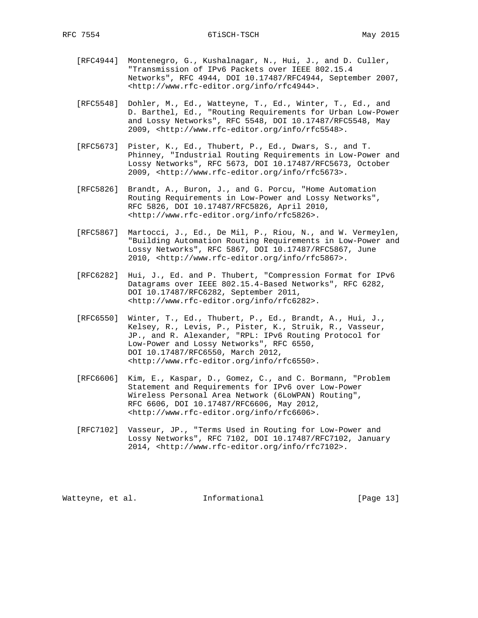- [RFC4944] Montenegro, G., Kushalnagar, N., Hui, J., and D. Culler, "Transmission of IPv6 Packets over IEEE 802.15.4 Networks", RFC 4944, DOI 10.17487/RFC4944, September 2007, <http://www.rfc-editor.org/info/rfc4944>.
- [RFC5548] Dohler, M., Ed., Watteyne, T., Ed., Winter, T., Ed., and D. Barthel, Ed., "Routing Requirements for Urban Low-Power and Lossy Networks", RFC 5548, DOI 10.17487/RFC5548, May 2009, <http://www.rfc-editor.org/info/rfc5548>.
- [RFC5673] Pister, K., Ed., Thubert, P., Ed., Dwars, S., and T. Phinney, "Industrial Routing Requirements in Low-Power and Lossy Networks", RFC 5673, DOI 10.17487/RFC5673, October 2009, <http://www.rfc-editor.org/info/rfc5673>.
- [RFC5826] Brandt, A., Buron, J., and G. Porcu, "Home Automation Routing Requirements in Low-Power and Lossy Networks", RFC 5826, DOI 10.17487/RFC5826, April 2010, <http://www.rfc-editor.org/info/rfc5826>.
- [RFC5867] Martocci, J., Ed., De Mil, P., Riou, N., and W. Vermeylen, "Building Automation Routing Requirements in Low-Power and Lossy Networks", RFC 5867, DOI 10.17487/RFC5867, June 2010, <http://www.rfc-editor.org/info/rfc5867>.
- [RFC6282] Hui, J., Ed. and P. Thubert, "Compression Format for IPv6 Datagrams over IEEE 802.15.4-Based Networks", RFC 6282, DOI 10.17487/RFC6282, September 2011, <http://www.rfc-editor.org/info/rfc6282>.
- [RFC6550] Winter, T., Ed., Thubert, P., Ed., Brandt, A., Hui, J., Kelsey, R., Levis, P., Pister, K., Struik, R., Vasseur, JP., and R. Alexander, "RPL: IPv6 Routing Protocol for Low-Power and Lossy Networks", RFC 6550, DOI 10.17487/RFC6550, March 2012, <http://www.rfc-editor.org/info/rfc6550>.
- [RFC6606] Kim, E., Kaspar, D., Gomez, C., and C. Bormann, "Problem Statement and Requirements for IPv6 over Low-Power Wireless Personal Area Network (6LoWPAN) Routing", RFC 6606, DOI 10.17487/RFC6606, May 2012, <http://www.rfc-editor.org/info/rfc6606>.
- [RFC7102] Vasseur, JP., "Terms Used in Routing for Low-Power and Lossy Networks", RFC 7102, DOI 10.17487/RFC7102, January 2014, <http://www.rfc-editor.org/info/rfc7102>.

Watteyne, et al. 1nformational 1999 [Page 13]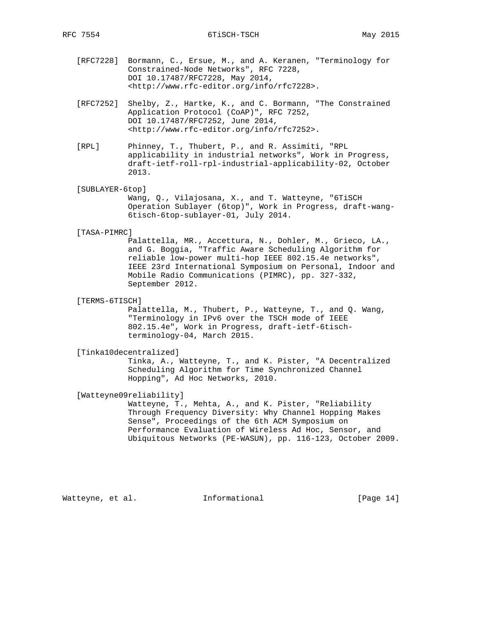- [RFC7228] Bormann, C., Ersue, M., and A. Keranen, "Terminology for Constrained-Node Networks", RFC 7228, DOI 10.17487/RFC7228, May 2014, <http://www.rfc-editor.org/info/rfc7228>.
- [RFC7252] Shelby, Z., Hartke, K., and C. Bormann, "The Constrained Application Protocol (CoAP)", RFC 7252, DOI 10.17487/RFC7252, June 2014, <http://www.rfc-editor.org/info/rfc7252>.
- [RPL] Phinney, T., Thubert, P., and R. Assimiti, "RPL applicability in industrial networks", Work in Progress, draft-ietf-roll-rpl-industrial-applicability-02, October 2013.

### [SUBLAYER-6top]

 Wang, Q., Vilajosana, X., and T. Watteyne, "6TiSCH Operation Sublayer (6top)", Work in Progress, draft-wang- 6tisch-6top-sublayer-01, July 2014.

#### [TASA-PIMRC]

 Palattella, MR., Accettura, N., Dohler, M., Grieco, LA., and G. Boggia, "Traffic Aware Scheduling Algorithm for reliable low-power multi-hop IEEE 802.15.4e networks", IEEE 23rd International Symposium on Personal, Indoor and Mobile Radio Communications (PIMRC), pp. 327-332, September 2012.

#### [TERMS-6TISCH]

 Palattella, M., Thubert, P., Watteyne, T., and Q. Wang, "Terminology in IPv6 over the TSCH mode of IEEE 802.15.4e", Work in Progress, draft-ietf-6tisch terminology-04, March 2015.

### [Tinka10decentralized]

 Tinka, A., Watteyne, T., and K. Pister, "A Decentralized Scheduling Algorithm for Time Synchronized Channel Hopping", Ad Hoc Networks, 2010.

### [Watteyne09reliability]

 Watteyne, T., Mehta, A., and K. Pister, "Reliability Through Frequency Diversity: Why Channel Hopping Makes Sense", Proceedings of the 6th ACM Symposium on Performance Evaluation of Wireless Ad Hoc, Sensor, and Ubiquitous Networks (PE-WASUN), pp. 116-123, October 2009.

Watteyne, et al. 1nformational 1999 [Page 14]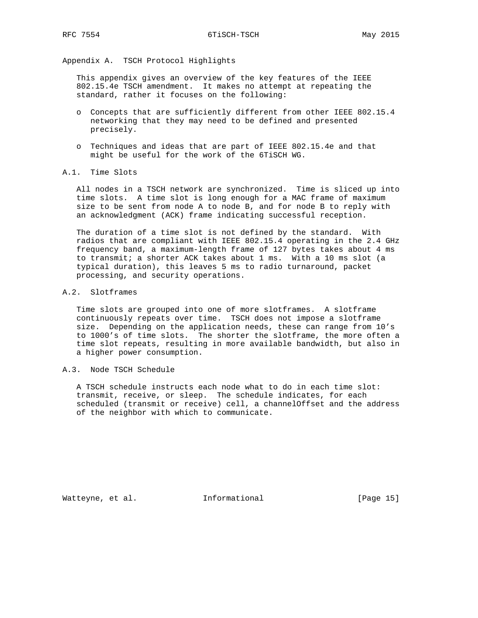Appendix A. TSCH Protocol Highlights

 This appendix gives an overview of the key features of the IEEE 802.15.4e TSCH amendment. It makes no attempt at repeating the standard, rather it focuses on the following:

- o Concepts that are sufficiently different from other IEEE 802.15.4 networking that they may need to be defined and presented precisely.
- o Techniques and ideas that are part of IEEE 802.15.4e and that might be useful for the work of the 6TiSCH WG.
- A.1. Time Slots

 All nodes in a TSCH network are synchronized. Time is sliced up into time slots. A time slot is long enough for a MAC frame of maximum size to be sent from node A to node B, and for node B to reply with an acknowledgment (ACK) frame indicating successful reception.

 The duration of a time slot is not defined by the standard. With radios that are compliant with IEEE 802.15.4 operating in the 2.4 GHz frequency band, a maximum-length frame of 127 bytes takes about 4 ms to transmit; a shorter ACK takes about 1 ms. With a 10 ms slot (a typical duration), this leaves 5 ms to radio turnaround, packet processing, and security operations.

### A.2. Slotframes

 Time slots are grouped into one of more slotframes. A slotframe continuously repeats over time. TSCH does not impose a slotframe size. Depending on the application needs, these can range from 10's to 1000's of time slots. The shorter the slotframe, the more often a time slot repeats, resulting in more available bandwidth, but also in a higher power consumption.

# A.3. Node TSCH Schedule

 A TSCH schedule instructs each node what to do in each time slot: transmit, receive, or sleep. The schedule indicates, for each scheduled (transmit or receive) cell, a channelOffset and the address of the neighbor with which to communicate.

Watteyne, et al. 1nformational 1999 [Page 15]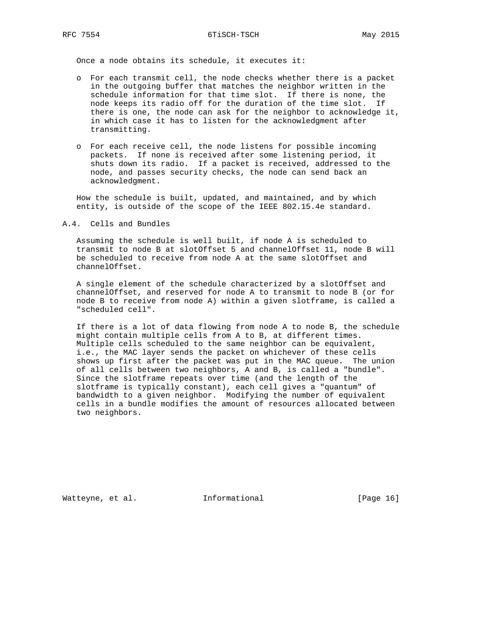Once a node obtains its schedule, it executes it:

- o For each transmit cell, the node checks whether there is a packet in the outgoing buffer that matches the neighbor written in the schedule information for that time slot. If there is none, the node keeps its radio off for the duration of the time slot. If there is one, the node can ask for the neighbor to acknowledge it, in which case it has to listen for the acknowledgment after transmitting.
- o For each receive cell, the node listens for possible incoming packets. If none is received after some listening period, it shuts down its radio. If a packet is received, addressed to the node, and passes security checks, the node can send back an acknowledgment.

 How the schedule is built, updated, and maintained, and by which entity, is outside of the scope of the IEEE 802.15.4e standard.

A.4. Cells and Bundles

 Assuming the schedule is well built, if node A is scheduled to transmit to node B at slotOffset 5 and channelOffset 11, node B will be scheduled to receive from node A at the same slotOffset and channelOffset.

 A single element of the schedule characterized by a slotOffset and channelOffset, and reserved for node A to transmit to node B (or for node B to receive from node A) within a given slotframe, is called a "scheduled cell".

 If there is a lot of data flowing from node A to node B, the schedule might contain multiple cells from A to B, at different times. Multiple cells scheduled to the same neighbor can be equivalent, i.e., the MAC layer sends the packet on whichever of these cells shows up first after the packet was put in the MAC queue. The union of all cells between two neighbors, A and B, is called a "bundle". Since the slotframe repeats over time (and the length of the slotframe is typically constant), each cell gives a "quantum" of bandwidth to a given neighbor. Modifying the number of equivalent cells in a bundle modifies the amount of resources allocated between two neighbors.

Watteyne, et al. 1nformational 1999 [Page 16]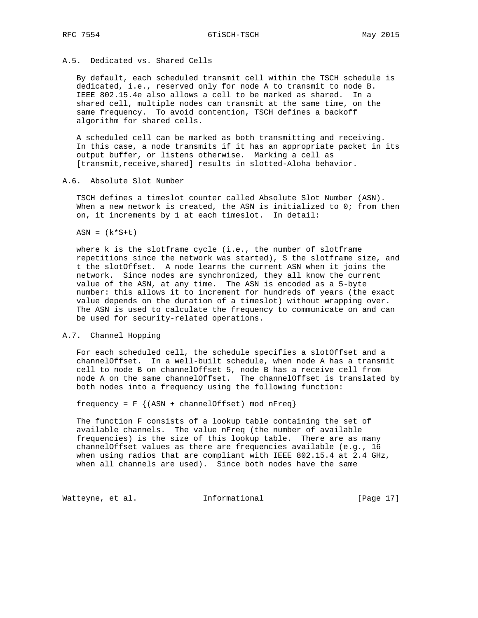# A.5. Dedicated vs. Shared Cells

 By default, each scheduled transmit cell within the TSCH schedule is dedicated, i.e., reserved only for node A to transmit to node B. IEEE 802.15.4e also allows a cell to be marked as shared. In a shared cell, multiple nodes can transmit at the same time, on the same frequency. To avoid contention, TSCH defines a backoff algorithm for shared cells.

 A scheduled cell can be marked as both transmitting and receiving. In this case, a node transmits if it has an appropriate packet in its output buffer, or listens otherwise. Marking a cell as [transmit, receive, shared] results in slotted-Aloha behavior.

### A.6. Absolute Slot Number

 TSCH defines a timeslot counter called Absolute Slot Number (ASN). When a new network is created, the ASN is initialized to 0; from then on, it increments by 1 at each timeslot. In detail:

 $ASN = (k*S+t)$ 

 where k is the slotframe cycle (i.e., the number of slotframe repetitions since the network was started), S the slotframe size, and t the slotOffset. A node learns the current ASN when it joins the network. Since nodes are synchronized, they all know the current value of the ASN, at any time. The ASN is encoded as a 5-byte number: this allows it to increment for hundreds of years (the exact value depends on the duration of a timeslot) without wrapping over. The ASN is used to calculate the frequency to communicate on and can be used for security-related operations.

#### A.7. Channel Hopping

 For each scheduled cell, the schedule specifies a slotOffset and a channelOffset. In a well-built schedule, when node A has a transmit cell to node B on channelOffset 5, node B has a receive cell from node A on the same channelOffset. The channelOffset is translated by both nodes into a frequency using the following function:

frequency =  $F \{ (ASN + channelOffset) mod nFreq \}$ 

 The function F consists of a lookup table containing the set of available channels. The value nFreq (the number of available frequencies) is the size of this lookup table. There are as many channelOffset values as there are frequencies available (e.g., 16 when using radios that are compliant with IEEE 802.15.4 at 2.4 GHz, when all channels are used). Since both nodes have the same

Watteyne, et al. 1nformational 1999 [Page 17]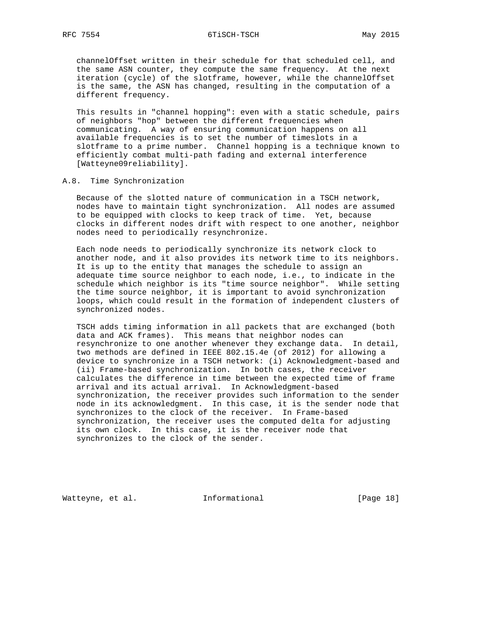### RFC 7554 6TiSCH-TSCH May 2015

 channelOffset written in their schedule for that scheduled cell, and the same ASN counter, they compute the same frequency. At the next iteration (cycle) of the slotframe, however, while the channelOffset is the same, the ASN has changed, resulting in the computation of a different frequency.

 This results in "channel hopping": even with a static schedule, pairs of neighbors "hop" between the different frequencies when communicating. A way of ensuring communication happens on all available frequencies is to set the number of timeslots in a slotframe to a prime number. Channel hopping is a technique known to efficiently combat multi-path fading and external interference [Watteyne09reliability].

### A.8. Time Synchronization

 Because of the slotted nature of communication in a TSCH network, nodes have to maintain tight synchronization. All nodes are assumed to be equipped with clocks to keep track of time. Yet, because clocks in different nodes drift with respect to one another, neighbor nodes need to periodically resynchronize.

 Each node needs to periodically synchronize its network clock to another node, and it also provides its network time to its neighbors. It is up to the entity that manages the schedule to assign an adequate time source neighbor to each node, i.e., to indicate in the schedule which neighbor is its "time source neighbor". While setting the time source neighbor, it is important to avoid synchronization loops, which could result in the formation of independent clusters of synchronized nodes.

 TSCH adds timing information in all packets that are exchanged (both data and ACK frames). This means that neighbor nodes can resynchronize to one another whenever they exchange data. In detail, two methods are defined in IEEE 802.15.4e (of 2012) for allowing a device to synchronize in a TSCH network: (i) Acknowledgment-based and (ii) Frame-based synchronization. In both cases, the receiver calculates the difference in time between the expected time of frame arrival and its actual arrival. In Acknowledgment-based synchronization, the receiver provides such information to the sender node in its acknowledgment. In this case, it is the sender node that synchronizes to the clock of the receiver. In Frame-based synchronization, the receiver uses the computed delta for adjusting its own clock. In this case, it is the receiver node that synchronizes to the clock of the sender.

Watteyne, et al. 1nformational 1999 [Page 18]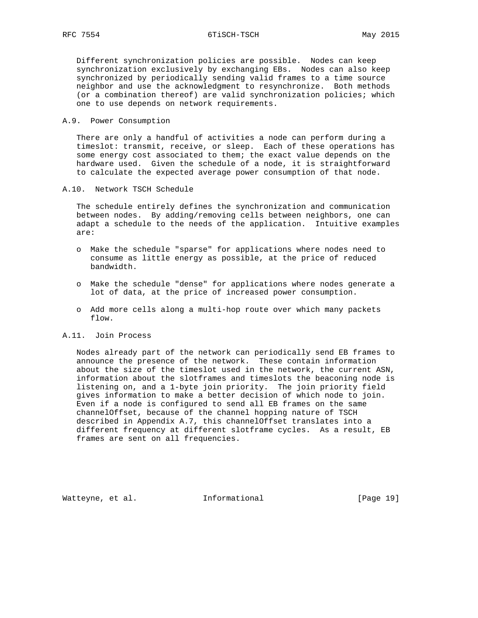RFC 7554 6TiSCH-TSCH 6TiSCH-TSCH

 Different synchronization policies are possible. Nodes can keep synchronization exclusively by exchanging EBs. Nodes can also keep synchronized by periodically sending valid frames to a time source neighbor and use the acknowledgment to resynchronize. Both methods (or a combination thereof) are valid synchronization policies; which one to use depends on network requirements.

#### A.9. Power Consumption

 There are only a handful of activities a node can perform during a timeslot: transmit, receive, or sleep. Each of these operations has some energy cost associated to them; the exact value depends on the hardware used. Given the schedule of a node, it is straightforward to calculate the expected average power consumption of that node.

### A.10. Network TSCH Schedule

 The schedule entirely defines the synchronization and communication between nodes. By adding/removing cells between neighbors, one can adapt a schedule to the needs of the application. Intuitive examples are:

- o Make the schedule "sparse" for applications where nodes need to consume as little energy as possible, at the price of reduced bandwidth.
- o Make the schedule "dense" for applications where nodes generate a lot of data, at the price of increased power consumption.
- o Add more cells along a multi-hop route over which many packets flow.

### A.11. Join Process

 Nodes already part of the network can periodically send EB frames to announce the presence of the network. These contain information about the size of the timeslot used in the network, the current ASN, information about the slotframes and timeslots the beaconing node is listening on, and a 1-byte join priority. The join priority field gives information to make a better decision of which node to join. Even if a node is configured to send all EB frames on the same channelOffset, because of the channel hopping nature of TSCH described in Appendix A.7, this channelOffset translates into a different frequency at different slotframe cycles. As a result, EB frames are sent on all frequencies.

Watteyne, et al. 1nformational 1917 [Page 19]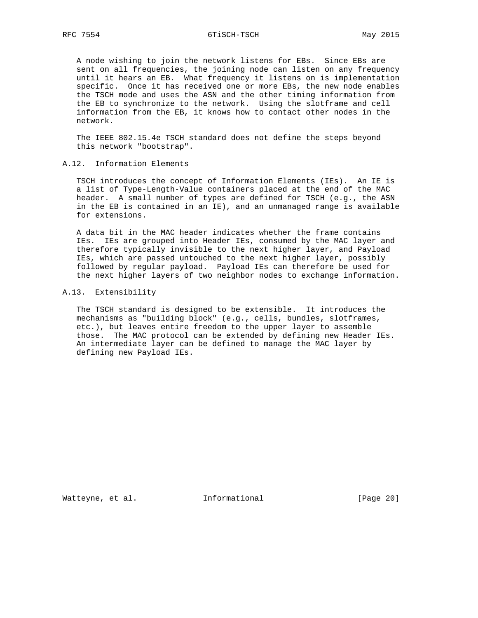A node wishing to join the network listens for EBs. Since EBs are sent on all frequencies, the joining node can listen on any frequency until it hears an EB. What frequency it listens on is implementation specific. Once it has received one or more EBs, the new node enables the TSCH mode and uses the ASN and the other timing information from the EB to synchronize to the network. Using the slotframe and cell information from the EB, it knows how to contact other nodes in the network.

 The IEEE 802.15.4e TSCH standard does not define the steps beyond this network "bootstrap".

A.12. Information Elements

 TSCH introduces the concept of Information Elements (IEs). An IE is a list of Type-Length-Value containers placed at the end of the MAC header. A small number of types are defined for TSCH (e.g., the ASN in the EB is contained in an IE), and an unmanaged range is available for extensions.

 A data bit in the MAC header indicates whether the frame contains IEs. IEs are grouped into Header IEs, consumed by the MAC layer and therefore typically invisible to the next higher layer, and Payload IEs, which are passed untouched to the next higher layer, possibly followed by regular payload. Payload IEs can therefore be used for the next higher layers of two neighbor nodes to exchange information.

### A.13. Extensibility

 The TSCH standard is designed to be extensible. It introduces the mechanisms as "building block" (e.g., cells, bundles, slotframes, etc.), but leaves entire freedom to the upper layer to assemble those. The MAC protocol can be extended by defining new Header IEs. An intermediate layer can be defined to manage the MAC layer by defining new Payload IEs.

Watteyne, et al. 1nformational 1999 [Page 20]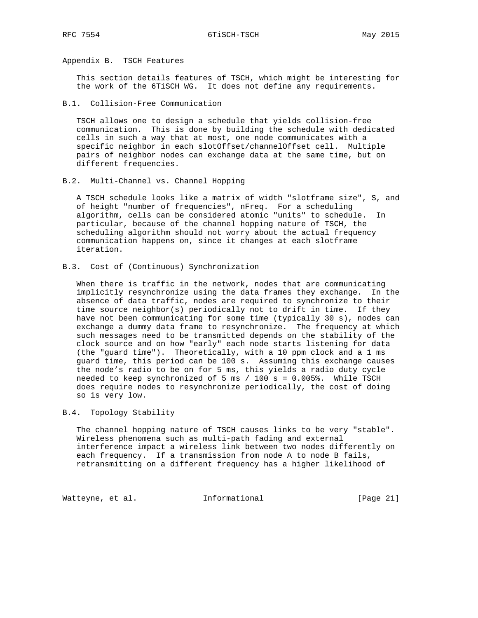Appendix B. TSCH Features

 This section details features of TSCH, which might be interesting for the work of the 6TiSCH WG. It does not define any requirements.

B.1. Collision-Free Communication

 TSCH allows one to design a schedule that yields collision-free communication. This is done by building the schedule with dedicated cells in such a way that at most, one node communicates with a specific neighbor in each slotOffset/channelOffset cell. Multiple pairs of neighbor nodes can exchange data at the same time, but on different frequencies.

B.2. Multi-Channel vs. Channel Hopping

 A TSCH schedule looks like a matrix of width "slotframe size", S, and of height "number of frequencies", nFreq. For a scheduling algorithm, cells can be considered atomic "units" to schedule. In particular, because of the channel hopping nature of TSCH, the scheduling algorithm should not worry about the actual frequency communication happens on, since it changes at each slotframe iteration.

B.3. Cost of (Continuous) Synchronization

 When there is traffic in the network, nodes that are communicating implicitly resynchronize using the data frames they exchange. In the absence of data traffic, nodes are required to synchronize to their time source neighbor(s) periodically not to drift in time. If they have not been communicating for some time (typically 30 s), nodes can exchange a dummy data frame to resynchronize. The frequency at which such messages need to be transmitted depends on the stability of the clock source and on how "early" each node starts listening for data (the "guard time"). Theoretically, with a 10 ppm clock and a 1 ms guard time, this period can be 100 s. Assuming this exchange causes the node's radio to be on for 5 ms, this yields a radio duty cycle needed to keep synchronized of 5 ms  $/$  100 s = 0.005%. While TSCH does require nodes to resynchronize periodically, the cost of doing so is very low.

## B.4. Topology Stability

 The channel hopping nature of TSCH causes links to be very "stable". Wireless phenomena such as multi-path fading and external interference impact a wireless link between two nodes differently on each frequency. If a transmission from node A to node B fails, retransmitting on a different frequency has a higher likelihood of

Watteyne, et al. 1nformational 1999 [Page 21]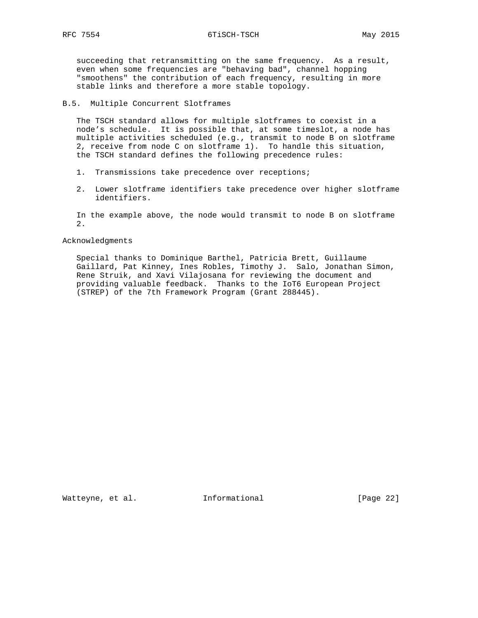RFC 7554 6TiSCH-TSCH 6TiSCH-TSCH

 succeeding that retransmitting on the same frequency. As a result, even when some frequencies are "behaving bad", channel hopping "smoothens" the contribution of each frequency, resulting in more stable links and therefore a more stable topology.

# B.5. Multiple Concurrent Slotframes

 The TSCH standard allows for multiple slotframes to coexist in a node's schedule. It is possible that, at some timeslot, a node has multiple activities scheduled (e.g., transmit to node B on slotframe 2, receive from node C on slotframe 1). To handle this situation, the TSCH standard defines the following precedence rules:

- 1. Transmissions take precedence over receptions;
- 2. Lower slotframe identifiers take precedence over higher slotframe identifiers.

 In the example above, the node would transmit to node B on slotframe 2.

### Acknowledgments

 Special thanks to Dominique Barthel, Patricia Brett, Guillaume Gaillard, Pat Kinney, Ines Robles, Timothy J. Salo, Jonathan Simon, Rene Struik, and Xavi Vilajosana for reviewing the document and providing valuable feedback. Thanks to the IoT6 European Project (STREP) of the 7th Framework Program (Grant 288445).